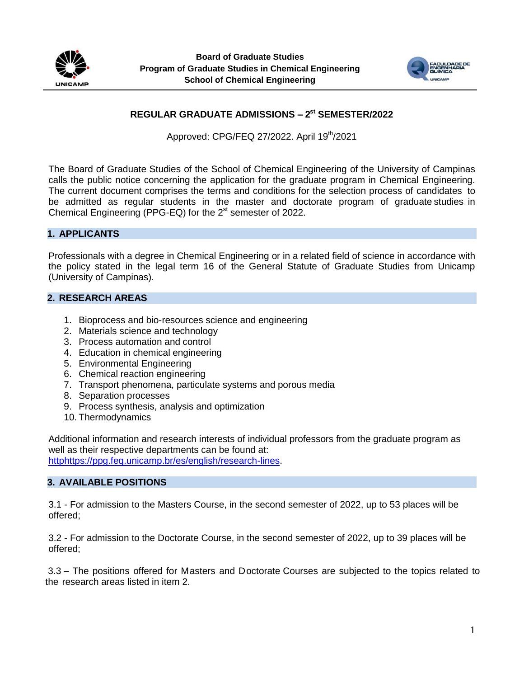



# **REGULAR GRADUATE ADMISSIONS – 2 st SEMESTER/2022**

Approved: CPG/FEQ 27/2022. April 19<sup>th</sup>/2021

The Board of Graduate Studies of the School of Chemical Engineering of the University of Campinas calls the public notice concerning the application for the graduate program in Chemical Engineering. The current document comprises the terms and conditions for the selection process of candidates to be admitted as regular students in the master and doctorate program of graduate studies in Chemical Engineering (PPG-EQ) for the  $2<sup>st</sup>$  semester of 2022.

### **1. APPLICANTS**

Professionals with a degree in Chemical Engineering or in a related field of science in accordance with the policy stated in the legal term 16 of the General Statute of Graduate Studies from Unicamp (University of Campinas).

### **2. RESEARCH AREAS**

- 1. Bioprocess and bio-resources science and engineering
- 2. Materials science and technology
- 3. Process automation and control
- 4. Education in chemical engineering
- 5. Environmental Engineering
- 6. Chemical reaction engineering
- 7. Transport phenomena, particulate systems and porous media
- 8. Separation processes
- 9. Process synthesis, analysis and optimization
- 10. Thermodynamics

Additional information and research interests of individual professors from the graduate program as well as their respective departments can be found at: htt[phttps://ppg.feq.unicamp.br/es/english/research-lines.](https://ppg.feq.unicamp.br/es/english/research-lines/)

#### **3. AVAILABLE POSITIONS**

3.1 - For admission to the Masters Course, in the second semester of 2022, up to 53 places will be offered;

3.2 - For admission to the Doctorate Course, in the second semester of 2022, up to 39 places will be offered;

3.3 – The positions offered for Masters and Doctorate Courses are subjected to the topics related to the research areas listed in item 2.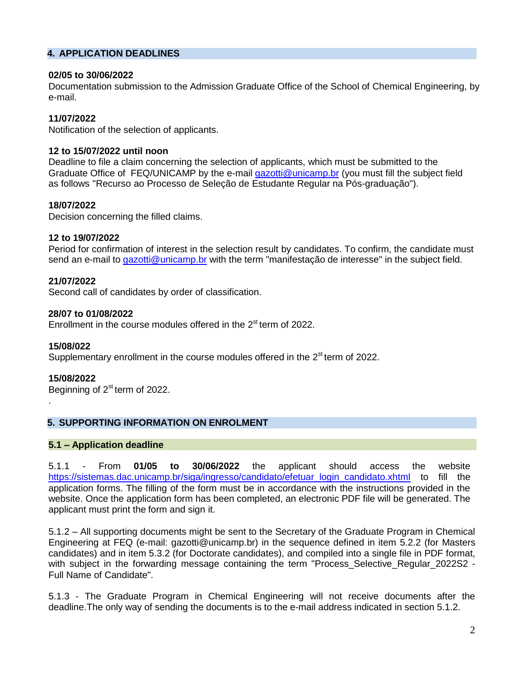### **4. APPLICATION DEADLINES**

#### **02/05 to 30/06/2022**

Documentation submission to the Admission Graduate Office of the School of Chemical Engineering, by e-mail.

### **11/07/2022**

Notification of the selection of applicants.

#### **12 to 15/07/2022 until noon**

Deadline to file a claim concerning the selection of applicants, which must be submitted to the Graduate Office of FEQ/UNICAMP by the e-mail [gazotti@unicamp.br](mailto:gazotti@unicamp.br) (you must fill the subject field as follows "Recurso ao Processo de Seleção de Estudante Regular na Pós-graduação").

### **18/07/2022**

Decision concerning the filled claims.

### **12 to 19/07/2022**

Period for confirmation of interest in the selection result by candidates. To confirm, the candidate must send an e-mail to [gazotti@unicamp.br](mailto:gazotti@unicamp.br) with the term "manifestação de interesse" in the subject field.

#### **21/07/2022**

Second call of candidates by order of classification.

#### **28/07 to 01/08/2022**

Enrollment in the course modules offered in the 2<sup>st</sup> term of 2022.

#### **15/08/022**

Supplementary enrollment in the course modules offered in the 2<sup>st</sup> term of 2022.

#### **15/08/2022**

.

Beginning of 2<sup>st</sup> term of 2022.

## **5. SUPPORTING INFORMATION ON ENROLMENT**

#### **5.1 – Application deadline**

5.1.1 - From **01/05 to 30/06/2022** the applicant should access the website [https://sistemas.dac.unicamp.br/siga/ingresso/candidato/efetuar\\_login\\_candidato.xhtml](https://sistemas.dac.unicamp.br/siga/ingresso/candidato/efetuar_login_candidato.xhtml) to fill the application forms. The filling of the form must be in accordance with the instructions provided in the website. Once the application form has been completed, an electronic PDF file will be generated. The applicant must print the form and sign it.

5.1.2 – All supporting documents might be sent to the Secretary of the Graduate Program in Chemical Engineering at FEQ (e-mail: gazotti@unicamp.br) in the sequence defined in item 5.2.2 (for Masters candidates) and in item 5.3.2 (for Doctorate candidates), and compiled into a single file in PDF format, with subject in the forwarding message containing the term "Process\_Selective\_Regular\_2022S2 -Full Name of Candidate".

5.1.3 - The Graduate Program in Chemical Engineering will not receive documents after the deadline.The only way of sending the documents is to the e-mail address indicated in section 5.1.2.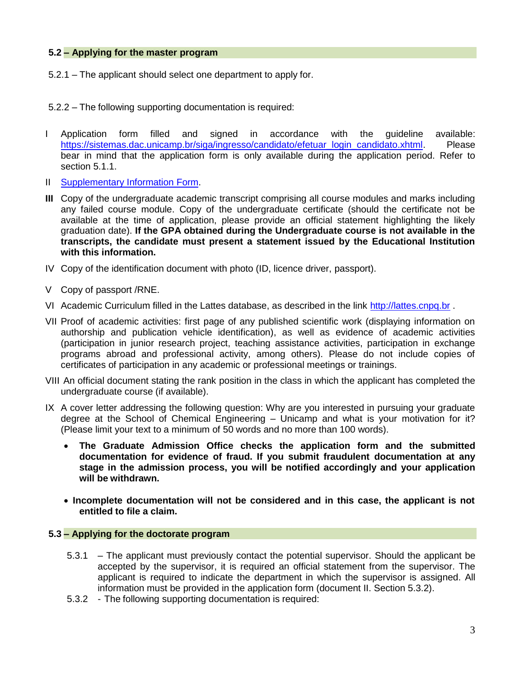### **5.2 – Applying for the master program**

5.2.1 – The applicant should select one department to apply for.

5.2.2 – The following supporting documentation is required:

- I Application form filled and signed in accordance with the guideline available: https://sistemas.dac.unicamp.br/siga/ingresso/candidato/efetuar\_login\_candidato.xhtml. Please bear in mind that the application form is only available during the application period. Refer to section 5.1.1.
- II [Supplementary Information Form.](https://docs.google.com/forms/d/e/1FAIpQLScdklut4FsGdKhLxhzm4y6f-8ft_ik2Z_swT2ZWoCaEkTj0OA/viewform?usp=pp_url)
- **III** Copy of the undergraduate academic transcript comprising all course modules and marks including any failed course module. Copy of the undergraduate certificate (should the certificate not be available at the time of application, please provide an official statement highlighting the likely graduation date). **If the GPA obtained during the Undergraduate course is not available in the transcripts, the candidate must present a statement issued by the Educational Institution with this information.**
- IV Copy of the identification document with photo (ID, licence driver, passport).
- V Copy of passport /RNE.
- VI Academic Curriculum filled in the Lattes database, as described in the link [http://lattes.cnpq.br](http://lattes.cnpq.br/) .
- VII Proof of academic activities: first page of any published scientific work (displaying information on authorship and publication vehicle identification), as well as evidence of academic activities (participation in junior research project, teaching assistance activities, participation in exchange programs abroad and professional activity, among others). Please do not include copies of certificates of participation in any academic or professional meetings or trainings.
- VIII An official document stating the rank position in the class in which the applicant has completed the undergraduate course (if available).
- IX A cover letter addressing the following question: Why are you interested in pursuing your graduate degree at the School of Chemical Engineering – Unicamp and what is your motivation for it? (Please limit your text to a minimum of 50 words and no more than 100 words).
	- **The Graduate Admission Office checks the application form and the submitted documentation for evidence of fraud. If you submit fraudulent documentation at any stage in the admission process, you will be notified accordingly and your application will be withdrawn.**
	- **Incomplete documentation will not be considered and in this case, the applicant is not entitled to file a claim.**

## **5.3 – Applying for the doctorate program**

- 5.3.1 The applicant must previously contact the potential supervisor. Should the applicant be accepted by the supervisor, it is required an official statement from the supervisor. The applicant is required to indicate the department in which the supervisor is assigned. All information must be provided in the application form (document II. Section 5.3.2).
- 5.3.2 The following supporting documentation is required: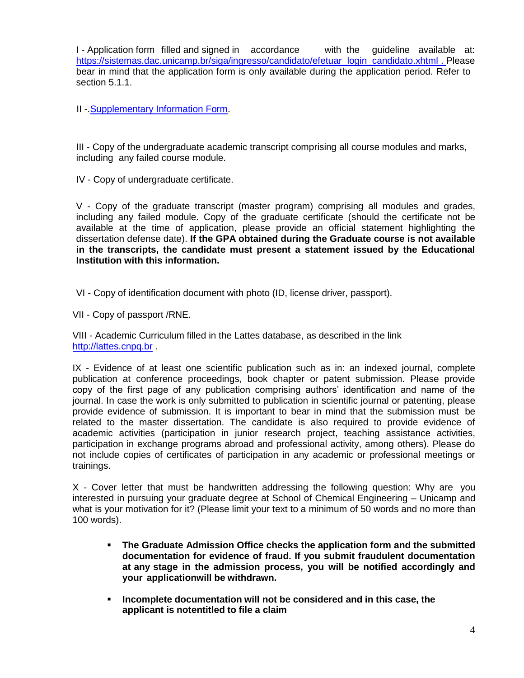I - Application form filled and signed in accordance with the guideline available at: [https://sistemas.dac.unicamp.br/siga/ingresso/candidato/efetuar\\_login\\_candidato.xhtml](https://sistemas.dac.unicamp.br/siga/ingresso/candidato/efetuar_login_candidato.xhtml) . Please bear in mind that the application form is only available during the application period. Refer to section 5.1.1.

II -[.Supplementary Information Form.](https://docs.google.com/forms/d/e/1FAIpQLScdklut4FsGdKhLxhzm4y6f-8ft_ik2Z_swT2ZWoCaEkTj0OA/viewform?usp=pp_url)

III - Copy of the undergraduate academic transcript comprising all course modules and marks, including any failed course module.

IV - Copy of undergraduate certificate.

V - Copy of the graduate transcript (master program) comprising all modules and grades, including any failed module. Copy of the graduate certificate (should the certificate not be available at the time of application, please provide an official statement highlighting the dissertation defense date). **If the GPA obtained during the Graduate course is not available in the transcripts, the candidate must present a statement issued by the Educational Institution with this information.**

VI - Copy of identification document with photo (ID, license driver, passport).

VII - Copy of passport /RNE.

VIII - Academic Curriculum filled in the Lattes database, as described in the link [http://lattes.cnpq.br](http://lattes.cnpq.br/) .

IX - Evidence of at least one scientific publication such as in: an indexed journal, complete publication at conference proceedings, book chapter or patent submission. Please provide copy of the first page of any publication comprising authors' identification and name of the journal. In case the work is only submitted to publication in scientific journal or patenting, please provide evidence of submission. It is important to bear in mind that the submission must be related to the master dissertation. The candidate is also required to provide evidence of academic activities (participation in junior research project, teaching assistance activities, participation in exchange programs abroad and professional activity, among others). Please do not include copies of certificates of participation in any academic or professional meetings or trainings.

X - Cover letter that must be handwritten addressing the following question: Why are you interested in pursuing your graduate degree at School of Chemical Engineering – Unicamp and what is your motivation for it? (Please limit your text to a minimum of 50 words and no more than 100 words).

- **The Graduate Admission Office checks the application form and the submitted documentation for evidence of fraud. If you submit fraudulent documentation at any stage in the admission process, you will be notified accordingly and your applicationwill be withdrawn.**
- **Incomplete documentation will not be considered and in this case, the applicant is notentitled to file a claim**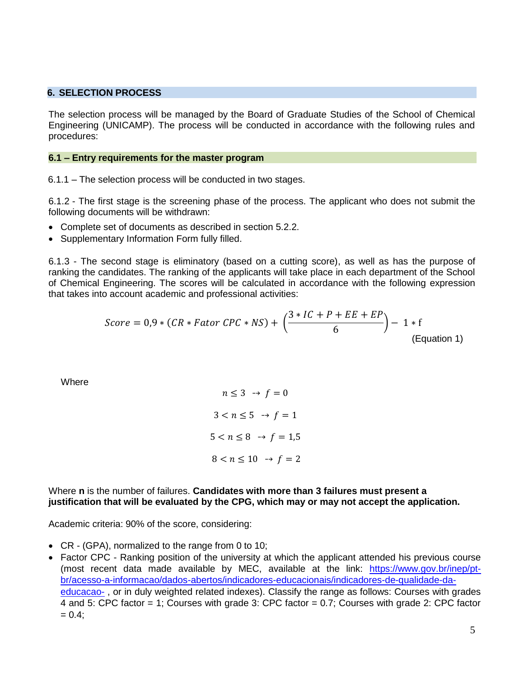#### **6. SELECTION PROCESS**

The selection process will be managed by the Board of Graduate Studies of the School of Chemical Engineering (UNICAMP). The process will be conducted in accordance with the following rules and procedures:

#### **6.1 – Entry requirements for the master program**

6.1.1 – The selection process will be conducted in two stages.

6.1.2 - The first stage is the screening phase of the process. The applicant who does not submit the following documents will be withdrawn:

- Complete set of documents as described in section 5.2.2.
- Supplementary Information Form fully filled.

6.1.3 - The second stage is eliminatory (based on a cutting score), as well as has the purpose of ranking the candidates. The ranking of the applicants will take place in each department of the School of Chemical Engineering. The scores will be calculated in accordance with the following expression that takes into account academic and professional activities:

$$
Score = 0.9 * (CR * Factor \, CPC * NS) + \left(\frac{3 * IC + P + EE + EP}{6}\right) - 1 * f
$$
\n(Equation 1)

**Where** 

$$
n \le 3 \rightarrow f = 0
$$
  

$$
3 < n \le 5 \rightarrow f = 1
$$
  

$$
5 < n \le 8 \rightarrow f = 1,5
$$
  

$$
8 < n \le 10 \rightarrow f = 2
$$

Where **n** is the number of failures. **Candidates with more than 3 failures must present a justification that will be evaluated by the CPG, which may or may not accept the application.**

Academic criteria: 90% of the score, considering:

- CR (GPA), normalized to the range from 0 to 10;
- Factor CPC Ranking position of the university at which the applicant attended his previous course (most recent data made available by MEC, available at the link: [https://www.gov.br/inep/pt](https://www.gov.br/inep/pt-br/acesso-a-informacao/dados-abertos/indicadores-educacionais/indicadores-de-qualidade-da-educacao-superior)[br/acesso-a-informacao/dados-abertos/indicadores-educacionais/indicadores-de-qualidade-da](https://www.gov.br/inep/pt-br/acesso-a-informacao/dados-abertos/indicadores-educacionais/indicadores-de-qualidade-da-educacao-superior)[educacao-](https://www.gov.br/inep/pt-br/acesso-a-informacao/dados-abertos/indicadores-educacionais/indicadores-de-qualidade-da-educacao-superior) , or in duly weighted related indexes). Classify the range as follows: Courses with grades 4 and 5: CPC factor = 1; Courses with grade 3: CPC factor = 0.7; Courses with grade 2: CPC factor  $= 0.4$ ;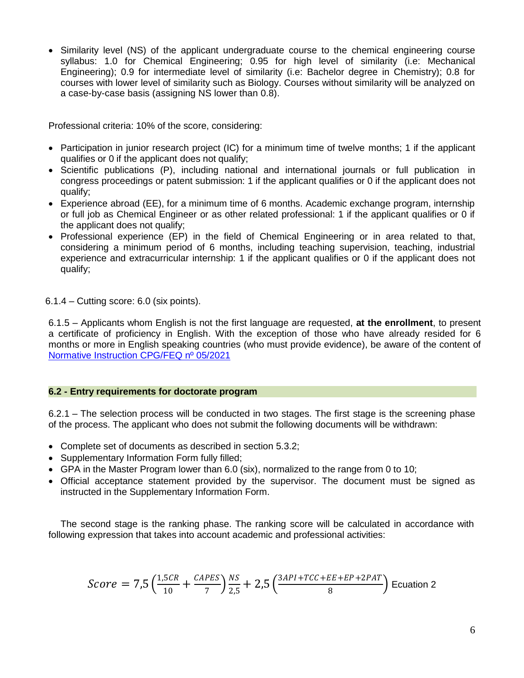• Similarity level (NS) of the applicant undergraduate course to the chemical engineering course syllabus: 1.0 for Chemical Engineering; 0.95 for high level of similarity (i.e: Mechanical Engineering); 0.9 for intermediate level of similarity (i.e: Bachelor degree in Chemistry); 0.8 for courses with lower level of similarity such as Biology. Courses without similarity will be analyzed on a case-by-case basis (assigning NS lower than 0.8).

Professional criteria: 10% of the score, considering:

- Participation in junior research project (IC) for a minimum time of twelve months; 1 if the applicant qualifies or 0 if the applicant does not qualify;
- Scientific publications (P), including national and international journals or full publication in congress proceedings or patent submission: 1 if the applicant qualifies or 0 if the applicant does not qualify;
- Experience abroad (EE), for a minimum time of 6 months. Academic exchange program, internship or full job as Chemical Engineer or as other related professional: 1 if the applicant qualifies or 0 if the applicant does not qualify;
- Professional experience (EP) in the field of Chemical Engineering or in area related to that, considering a minimum period of 6 months, including teaching supervision, teaching, industrial experience and extracurricular internship: 1 if the applicant qualifies or 0 if the applicant does not qualify;

6.1.4 – Cutting score: 6.0 (six points).

6.1.5 – Applicants whom English is not the first language are requested, **at the enrollment**, to present a certificate of proficiency in English. With the exception of those who have already resided for 6 months or more in English speaking countries (who must provide evidence), be aware of the content of Normative Instruction [CPG/FEQ nº 05/2021](https://ppg.feq.unicamp.br/wp-content/uploads/2021/08/Instruc%CC%A7a%CC%83o-Normativa_05-2021_Define-Normas-e-Procedimentos-para-Exame-de-Proficie%CC%82ncia-em-Li%CC%81ngua-Inglesa.pdf)

## **6.2 - Entry requirements for doctorate program**

6.2.1 – The selection process will be conducted in two stages. The first stage is the screening phase of the process. The applicant who does not submit the following documents will be withdrawn:

- Complete set of documents as described in section 5.3.2;
- Supplementary Information Form fully filled;
- GPA in the Master Program lower than 6.0 (six), normalized to the range from 0 to 10;
- Official acceptance statement provided by the supervisor. The document must be signed as instructed in the Supplementary Information Form.

The second stage is the ranking phase. The ranking score will be calculated in accordance with following expression that takes into account academic and professional activities:

$$
Score = 7.5 \left( \frac{1,5CR}{10} + \frac{CAPES}{7} \right) \frac{NS}{2.5} + 2.5 \left( \frac{3API + TCC + EE + EP + 2PATH}{8} \right)
$$
   
Equation 2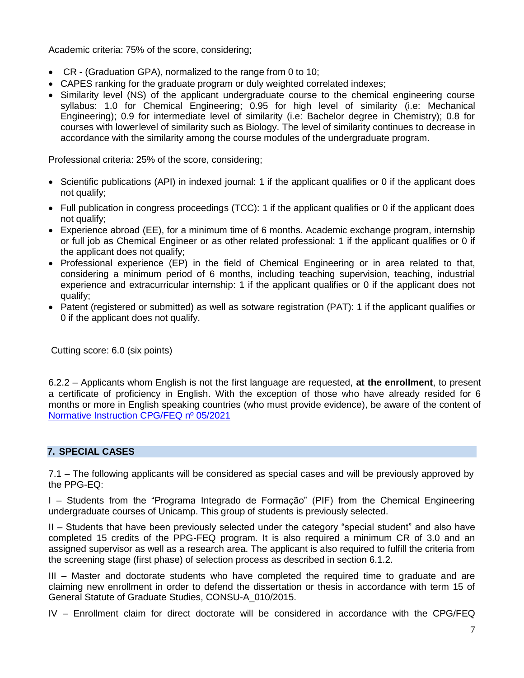Academic criteria: 75% of the score, considering;

- CR (Graduation GPA), normalized to the range from 0 to 10;
- CAPES ranking for the graduate program or duly weighted correlated indexes;
- Similarity level (NS) of the applicant undergraduate course to the chemical engineering course syllabus: 1.0 for Chemical Engineering; 0.95 for high level of similarity (i.e: Mechanical Engineering); 0.9 for intermediate level of similarity (i.e: Bachelor degree in Chemistry); 0.8 for courses with lower level of similarity such as Biology. The level of similarity continues to decrease in accordance with the similarity among the course modules of the undergraduate program.

Professional criteria: 25% of the score, considering;

- Scientific publications (API) in indexed journal: 1 if the applicant qualifies or 0 if the applicant does not qualify;
- Full publication in congress proceedings (TCC): 1 if the applicant qualifies or 0 if the applicant does not qualify;
- Experience abroad (EE), for a minimum time of 6 months. Academic exchange program, internship or full job as Chemical Engineer or as other related professional: 1 if the applicant qualifies or 0 if the applicant does not qualify;
- Professional experience (EP) in the field of Chemical Engineering or in area related to that, considering a minimum period of 6 months, including teaching supervision, teaching, industrial experience and extracurricular internship: 1 if the applicant qualifies or 0 if the applicant does not qualify;
- Patent (registered or submitted) as well as sotware registration (PAT): 1 if the applicant qualifies or 0 if the applicant does not qualify.

Cutting score: 6.0 (six points)

6.2.2 – Applicants whom English is not the first language are requested, **at the enrollment**, to present a certificate of proficiency in English. With the exception of those who have already resided for 6 months or more in English speaking countries (who must provide evidence), be aware of the content of Normative Instruction [CPG/FEQ nº 05/2021](https://ppg.feq.unicamp.br/wp-content/uploads/2021/08/Instruc%CC%A7a%CC%83o-Normativa_05-2021_Define-Normas-e-Procedimentos-para-Exame-de-Proficie%CC%82ncia-em-Li%CC%81ngua-Inglesa.pdf)

# **7. SPECIAL CASES**

7.1 – The following applicants will be considered as special cases and will be previously approved by the PPG-EQ:

I – Students from the "Programa Integrado de Formação" (PIF) from the Chemical Engineering undergraduate courses of Unicamp. This group of students is previously selected.

II – Students that have been previously selected under the category "special student" and also have completed 15 credits of the PPG-FEQ program. It is also required a minimum CR of 3.0 and an assigned supervisor as well as a research area. The applicant is also required to fulfill the criteria from the screening stage (first phase) of selection process as described in section 6.1.2.

III – Master and doctorate students who have completed the required time to graduate and are claiming new enrollment in order to defend the dissertation or thesis in accordance with term 15 of General Statute of Graduate Studies, CONSU-A\_010/2015.

IV – Enrollment claim for direct doctorate will be considered in accordance with the CPG/FEQ